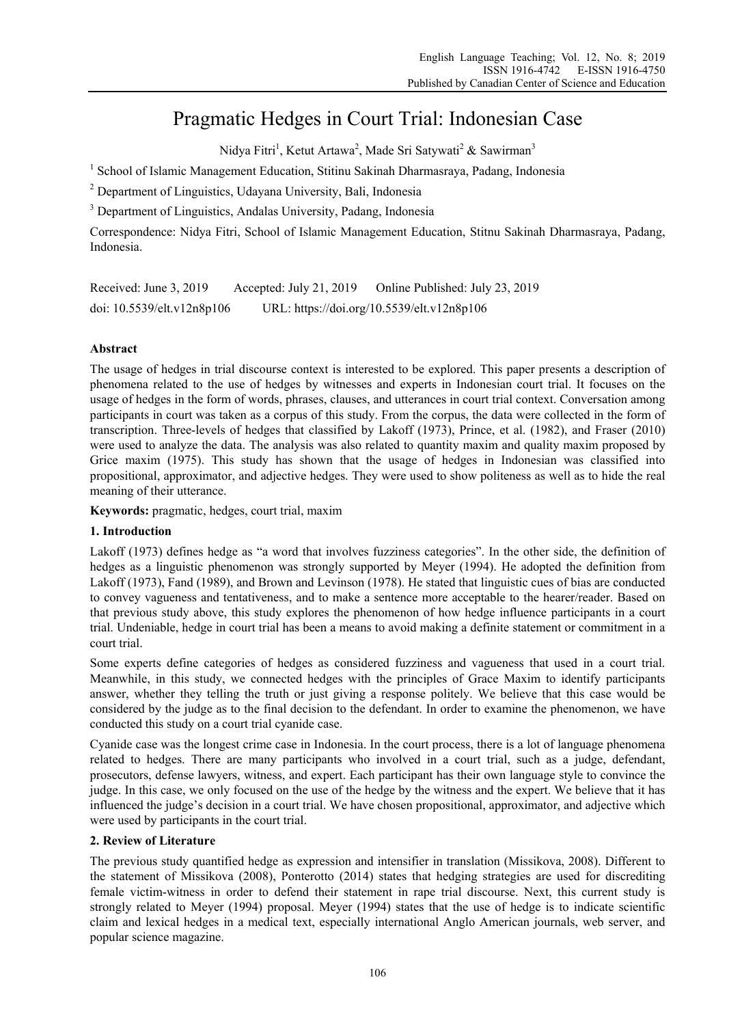# Pragmatic Hedges in Court Trial: Indonesian Case

Nidya Fitri<sup>1</sup>, Ketut Artawa<sup>2</sup>, Made Sri Satywati<sup>2</sup> & Sawirman<sup>3</sup>

<sup>1</sup> School of Islamic Management Education, Stitinu Sakinah Dharmasraya, Padang, Indonesia

<sup>2</sup> Department of Linguistics, Udayana University, Bali, Indonesia

<sup>3</sup> Department of Linguistics, Andalas University, Padang, Indonesia

Correspondence: Nidya Fitri, School of Islamic Management Education, Stitnu Sakinah Dharmasraya, Padang, Indonesia.

Received: June 3, 2019 Accepted: July 21, 2019 Online Published: July 23, 2019 doi: 10.5539/elt.v12n8p106 URL: https://doi.org/10.5539/elt.v12n8p106

# **Abstract**

The usage of hedges in trial discourse context is interested to be explored. This paper presents a description of phenomena related to the use of hedges by witnesses and experts in Indonesian court trial. It focuses on the usage of hedges in the form of words, phrases, clauses, and utterances in court trial context. Conversation among participants in court was taken as a corpus of this study. From the corpus, the data were collected in the form of transcription. Three-levels of hedges that classified by Lakoff (1973), Prince, et al. (1982), and Fraser (2010) were used to analyze the data. The analysis was also related to quantity maxim and quality maxim proposed by Grice maxim (1975). This study has shown that the usage of hedges in Indonesian was classified into propositional, approximator, and adjective hedges. They were used to show politeness as well as to hide the real meaning of their utterance.

**Keywords:** pragmatic, hedges, court trial, maxim

#### **1. Introduction**

Lakoff (1973) defines hedge as "a word that involves fuzziness categories". In the other side, the definition of hedges as a linguistic phenomenon was strongly supported by Meyer (1994). He adopted the definition from Lakoff (1973), Fand (1989), and Brown and Levinson (1978). He stated that linguistic cues of bias are conducted to convey vagueness and tentativeness, and to make a sentence more acceptable to the hearer/reader. Based on that previous study above, this study explores the phenomenon of how hedge influence participants in a court trial. Undeniable, hedge in court trial has been a means to avoid making a definite statement or commitment in a court trial.

Some experts define categories of hedges as considered fuzziness and vagueness that used in a court trial. Meanwhile, in this study, we connected hedges with the principles of Grace Maxim to identify participants answer, whether they telling the truth or just giving a response politely. We believe that this case would be considered by the judge as to the final decision to the defendant. In order to examine the phenomenon, we have conducted this study on a court trial cyanide case.

Cyanide case was the longest crime case in Indonesia. In the court process, there is a lot of language phenomena related to hedges. There are many participants who involved in a court trial, such as a judge, defendant, prosecutors, defense lawyers, witness, and expert. Each participant has their own language style to convince the judge. In this case, we only focused on the use of the hedge by the witness and the expert. We believe that it has influenced the judge's decision in a court trial. We have chosen propositional, approximator, and adjective which were used by participants in the court trial.

#### **2. Review of Literature**

The previous study quantified hedge as expression and intensifier in translation (Missikova, 2008). Different to the statement of Missikova (2008), Ponterotto (2014) states that hedging strategies are used for discrediting female victim-witness in order to defend their statement in rape trial discourse. Next, this current study is strongly related to Meyer (1994) proposal. Meyer (1994) states that the use of hedge is to indicate scientific claim and lexical hedges in a medical text, especially international Anglo American journals, web server, and popular science magazine.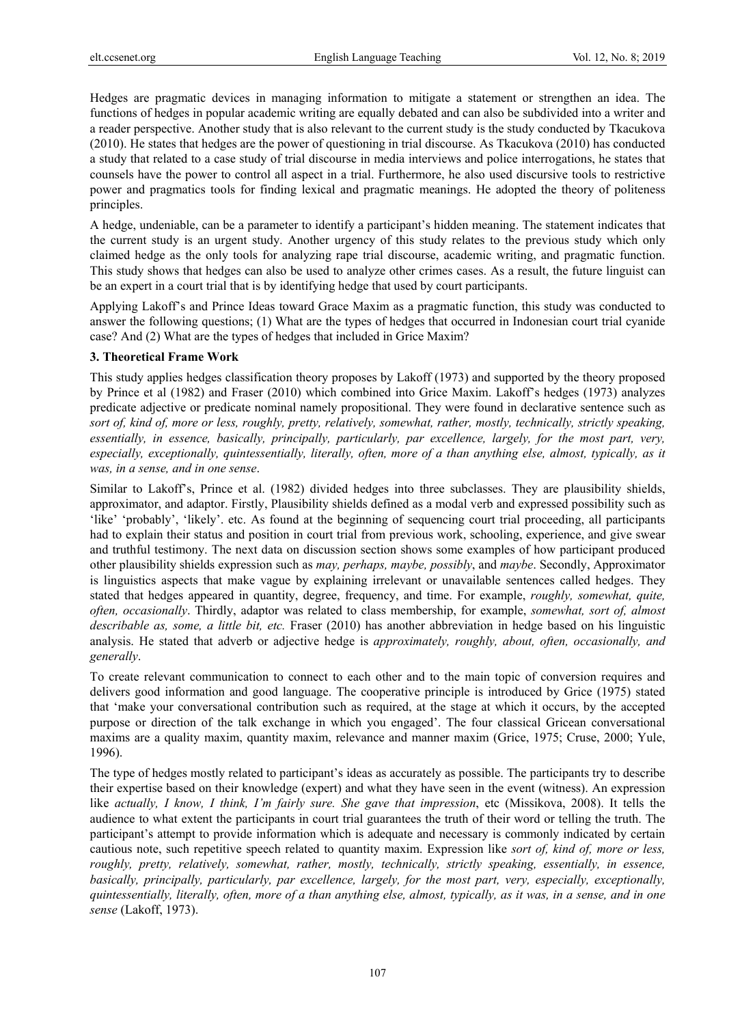Hedges are pragmatic devices in managing information to mitigate a statement or strengthen an idea. The functions of hedges in popular academic writing are equally debated and can also be subdivided into a writer and a reader perspective. Another study that is also relevant to the current study is the study conducted by Tkacukova (2010). He states that hedges are the power of questioning in trial discourse. As Tkacukova (2010) has conducted a study that related to a case study of trial discourse in media interviews and police interrogations, he states that counsels have the power to control all aspect in a trial. Furthermore, he also used discursive tools to restrictive power and pragmatics tools for finding lexical and pragmatic meanings. He adopted the theory of politeness principles.

A hedge, undeniable, can be a parameter to identify a participant's hidden meaning. The statement indicates that the current study is an urgent study. Another urgency of this study relates to the previous study which only claimed hedge as the only tools for analyzing rape trial discourse, academic writing, and pragmatic function. This study shows that hedges can also be used to analyze other crimes cases. As a result, the future linguist can be an expert in a court trial that is by identifying hedge that used by court participants.

Applying Lakoff's and Prince Ideas toward Grace Maxim as a pragmatic function, this study was conducted to answer the following questions; (1) What are the types of hedges that occurred in Indonesian court trial cyanide case? And (2) What are the types of hedges that included in Grice Maxim?

# **3. Theoretical Frame Work**

This study applies hedges classification theory proposes by Lakoff (1973) and supported by the theory proposed by Prince et al (1982) and Fraser (2010) which combined into Grice Maxim. Lakoff's hedges (1973) analyzes predicate adjective or predicate nominal namely propositional. They were found in declarative sentence such as *sort of, kind of, more or less, roughly, pretty, relatively, somewhat, rather, mostly, technically, strictly speaking, essentially, in essence, basically, principally, particularly, par excellence, largely, for the most part, very, especially, exceptionally, quintessentially, literally, often, more of a than anything else, almost, typically, as it was, in a sense, and in one sense*.

Similar to Lakoff's, Prince et al. (1982) divided hedges into three subclasses. They are plausibility shields, approximator, and adaptor. Firstly, Plausibility shields defined as a modal verb and expressed possibility such as 'like' 'probably', 'likely'. etc. As found at the beginning of sequencing court trial proceeding, all participants had to explain their status and position in court trial from previous work, schooling, experience, and give swear and truthful testimony. The next data on discussion section shows some examples of how participant produced other plausibility shields expression such as *may, perhaps, maybe, possibly*, and *maybe*. Secondly, Approximator is linguistics aspects that make vague by explaining irrelevant or unavailable sentences called hedges. They stated that hedges appeared in quantity, degree, frequency, and time. For example, *roughly, somewhat, quite, often, occasionally*. Thirdly, adaptor was related to class membership, for example, *somewhat, sort of, almost describable as, some, a little bit, etc.* Fraser (2010) has another abbreviation in hedge based on his linguistic analysis. He stated that adverb or adjective hedge is *approximately, roughly, about, often, occasionally, and generally*.

To create relevant communication to connect to each other and to the main topic of conversion requires and delivers good information and good language. The cooperative principle is introduced by Grice (1975) stated that 'make your conversational contribution such as required, at the stage at which it occurs, by the accepted purpose or direction of the talk exchange in which you engaged'. The four classical Gricean conversational maxims are a quality maxim, quantity maxim, relevance and manner maxim (Grice, 1975; Cruse, 2000; Yule, 1996).

The type of hedges mostly related to participant's ideas as accurately as possible. The participants try to describe their expertise based on their knowledge (expert) and what they have seen in the event (witness). An expression like *actually, I know, I think, I'm fairly sure. She gave that impression*, etc (Missikova, 2008). It tells the audience to what extent the participants in court trial guarantees the truth of their word or telling the truth. The participant's attempt to provide information which is adequate and necessary is commonly indicated by certain cautious note, such repetitive speech related to quantity maxim. Expression like *sort of, kind of, more or less, roughly, pretty, relatively, somewhat, rather, mostly, technically, strictly speaking, essentially, in essence, basically, principally, particularly, par excellence, largely, for the most part, very, especially, exceptionally, quintessentially, literally, often, more of a than anything else, almost, typically, as it was, in a sense, and in one sense* (Lakoff, 1973).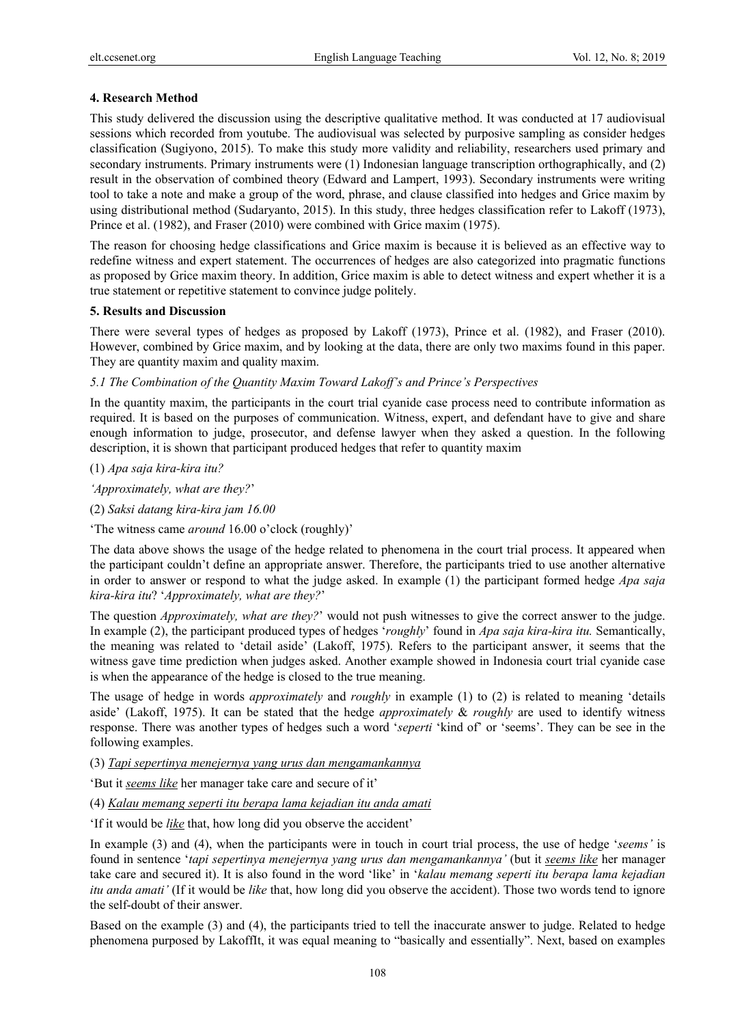# **4. Research Method**

This study delivered the discussion using the descriptive qualitative method. It was conducted at 17 audiovisual sessions which recorded from youtube. The audiovisual was selected by purposive sampling as consider hedges classification (Sugiyono, 2015). To make this study more validity and reliability, researchers used primary and secondary instruments. Primary instruments were (1) Indonesian language transcription orthographically, and (2) result in the observation of combined theory (Edward and Lampert, 1993). Secondary instruments were writing tool to take a note and make a group of the word, phrase, and clause classified into hedges and Grice maxim by using distributional method (Sudaryanto, 2015). In this study, three hedges classification refer to Lakoff (1973), Prince et al. (1982), and Fraser (2010) were combined with Grice maxim (1975).

The reason for choosing hedge classifications and Grice maxim is because it is believed as an effective way to redefine witness and expert statement. The occurrences of hedges are also categorized into pragmatic functions as proposed by Grice maxim theory. In addition, Grice maxim is able to detect witness and expert whether it is a true statement or repetitive statement to convince judge politely.

#### **5. Results and Discussion**

There were several types of hedges as proposed by Lakoff (1973), Prince et al. (1982), and Fraser (2010). However, combined by Grice maxim, and by looking at the data, there are only two maxims found in this paper. They are quantity maxim and quality maxim.

*5.1 The Combination of the Quantity Maxim Toward Lakoff's and Prince's Perspectives* 

In the quantity maxim, the participants in the court trial cyanide case process need to contribute information as required. It is based on the purposes of communication. Witness, expert, and defendant have to give and share enough information to judge, prosecutor, and defense lawyer when they asked a question. In the following description, it is shown that participant produced hedges that refer to quantity maxim

(1) *Apa saja kira-kira itu?*

*'Approximately, what are they?*'

(2) *Saksi datang kira-kira jam 16.00*

'The witness came *around* 16.00 o'clock (roughly)'

The data above shows the usage of the hedge related to phenomena in the court trial process. It appeared when the participant couldn't define an appropriate answer. Therefore, the participants tried to use another alternative in order to answer or respond to what the judge asked. In example (1) the participant formed hedge *Apa saja kira-kira itu*? '*Approximately, what are they?*'

The question *Approximately, what are they?*' would not push witnesses to give the correct answer to the judge. In example (2), the participant produced types of hedges '*roughly*' found in *Apa saja kira-kira itu.* Semantically, the meaning was related to 'detail aside' (Lakoff, 1975). Refers to the participant answer, it seems that the witness gave time prediction when judges asked. Another example showed in Indonesia court trial cyanide case is when the appearance of the hedge is closed to the true meaning.

The usage of hedge in words *approximately* and *roughly* in example (1) to (2) is related to meaning 'details aside' (Lakoff, 1975). It can be stated that the hedge *approximately* & *roughly* are used to identify witness response. There was another types of hedges such a word '*seperti* 'kind of' or 'seems'. They can be see in the following examples.

(3) *Tapi sepertinya menejernya yang urus dan mengamankannya* 

'But it *seems like* her manager take care and secure of it'

(4) *Kalau memang seperti itu berapa lama kejadian itu anda amati*

'If it would be *like* that, how long did you observe the accident'

In example (3) and (4), when the participants were in touch in court trial process, the use of hedge '*seems'* is found in sentence '*tapi sepertinya menejernya yang urus dan mengamankannya'* (but it *seems like* her manager take care and secured it). It is also found in the word 'like' in '*kalau memang seperti itu berapa lama kejadian itu anda amati'* (If it would be *like* that, how long did you observe the accident). Those two words tend to ignore the self-doubt of their answer.

Based on the example (3) and (4), the participants tried to tell the inaccurate answer to judge. Related to hedge phenomena purposed by LakoffIt, it was equal meaning to "basically and essentially". Next, based on examples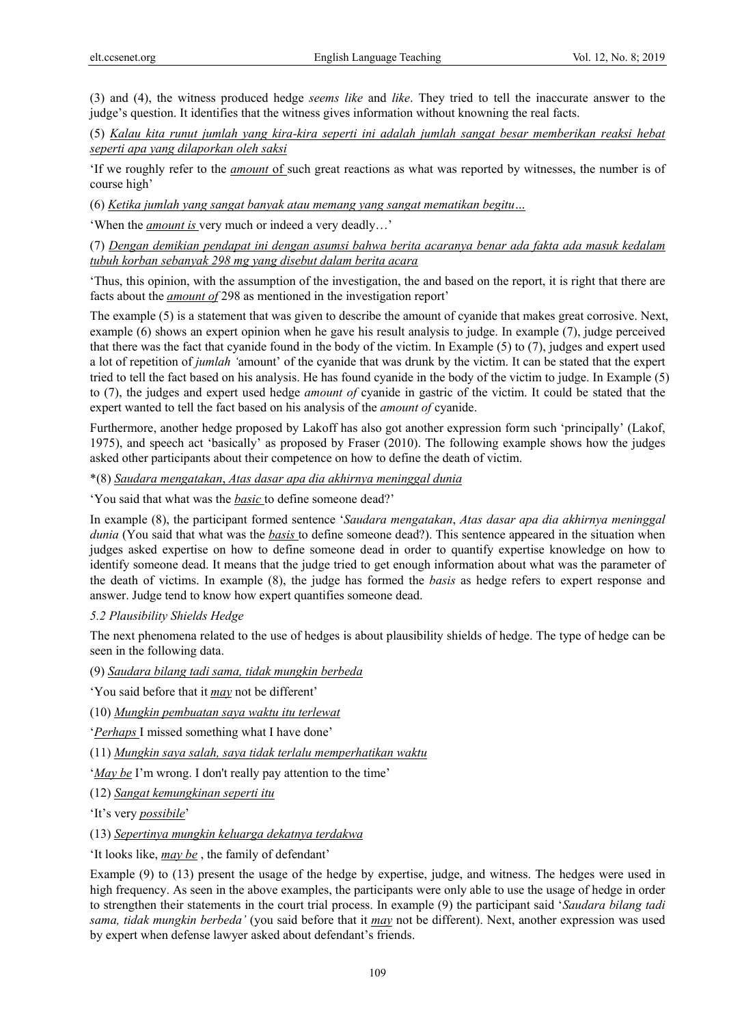(3) and (4), the witness produced hedge *seems like* and *like*. They tried to tell the inaccurate answer to the judge's question. It identifies that the witness gives information without knowning the real facts.

(5) *Kalau kita runut jumlah yang kira-kira seperti ini adalah jumlah sangat besar memberikan reaksi hebat seperti apa yang dilaporkan oleh saksi*

'If we roughly refer to the *amount* of such great reactions as what was reported by witnesses, the number is of course high'

(6) *Ketika jumlah yang sangat banyak atau memang yang sangat mematikan begitu…*

'When the *amount is* very much or indeed a very deadly…'

(7) *Dengan demikian pendapat ini dengan asumsi bahwa berita acaranya benar ada fakta ada masuk kedalam tubuh korban sebanyak 298 mg yang disebut dalam berita acara*

'Thus, this opinion, with the assumption of the investigation, the and based on the report, it is right that there are facts about the *amount of* 298 as mentioned in the investigation report'

The example (5) is a statement that was given to describe the amount of cyanide that makes great corrosive. Next, example (6) shows an expert opinion when he gave his result analysis to judge. In example (7), judge perceived that there was the fact that cyanide found in the body of the victim. In Example (5) to (7), judges and expert used a lot of repetition of *jumlah '*amount' of the cyanide that was drunk by the victim. It can be stated that the expert tried to tell the fact based on his analysis. He has found cyanide in the body of the victim to judge. In Example (5) to (7), the judges and expert used hedge *amount of* cyanide in gastric of the victim. It could be stated that the expert wanted to tell the fact based on his analysis of the *amount of* cyanide.

Furthermore, another hedge proposed by Lakoff has also got another expression form such 'principally' (Lakof, 1975), and speech act 'basically' as proposed by Fraser (2010). The following example shows how the judges asked other participants about their competence on how to define the death of victim.

\*(8) *Saudara mengatakan*, *Atas dasar apa dia akhirnya meninggal dunia*

'You said that what was the *basic* to define someone dead?'

In example (8), the participant formed sentence '*Saudara mengatakan*, *Atas dasar apa dia akhirnya meninggal dunia* (You said that what was the *basis* to define someone dead?). This sentence appeared in the situation when judges asked expertise on how to define someone dead in order to quantify expertise knowledge on how to identify someone dead. It means that the judge tried to get enough information about what was the parameter of the death of victims. In example (8), the judge has formed the *basis* as hedge refers to expert response and answer. Judge tend to know how expert quantifies someone dead.

# *5.2 Plausibility Shields Hedge*

The next phenomena related to the use of hedges is about plausibility shields of hedge. The type of hedge can be seen in the following data.

(9) *Saudara bilang tadi sama, tidak mungkin berbeda* 

'You said before that it *may* not be different'

(10) *Mungkin pembuatan saya waktu itu terlewat* 

'*Perhaps* I missed something what I have done'

(11) *Mungkin saya salah, saya tidak terlalu memperhatikan waktu*

'*May be* I'm wrong. I don't really pay attention to the time'

(12) *Sangat kemungkinan seperti itu*

'It's very *possibile*'

(13) *Sepertinya mungkin keluarga dekatnya terdakwa*

'It looks like, *may be* , the family of defendant'

Example (9) to (13) present the usage of the hedge by expertise, judge, and witness. The hedges were used in high frequency. As seen in the above examples, the participants were only able to use the usage of hedge in order to strengthen their statements in the court trial process. In example (9) the participant said '*Saudara bilang tadi sama, tidak mungkin berbeda'* (you said before that it *may* not be different). Next, another expression was used by expert when defense lawyer asked about defendant's friends.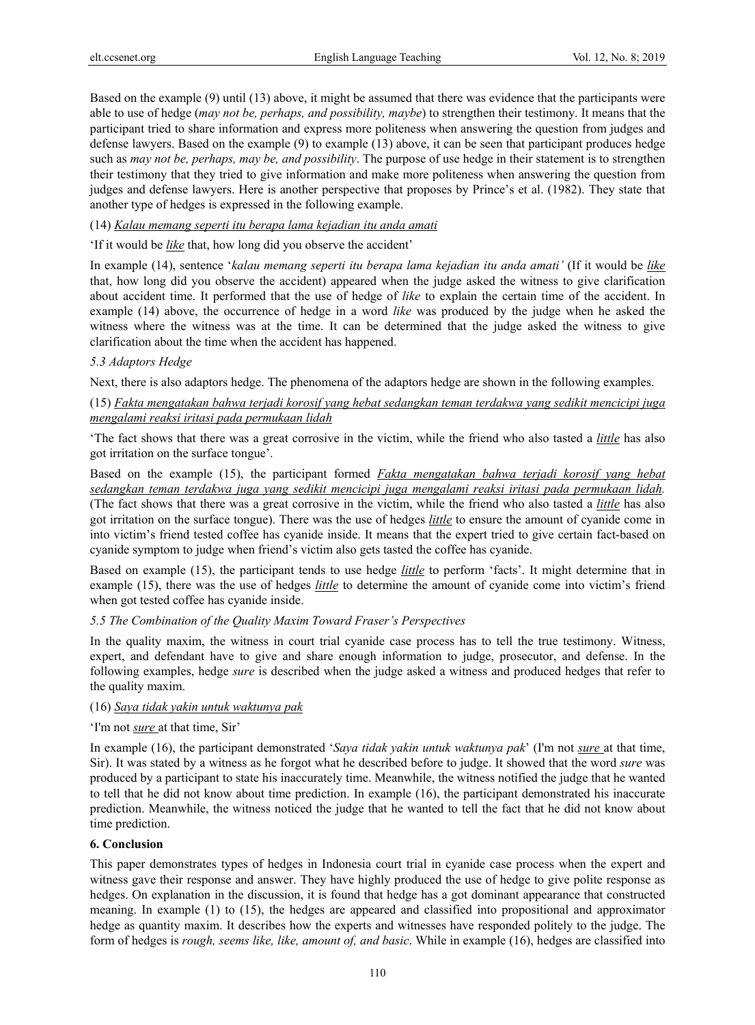Based on the example (9) until (13) above, it might be assumed that there was evidence that the participants were able to use of hedge (*may not be, perhaps, and possibility, maybe*) to strengthen their testimony. It means that the participant tried to share information and express more politeness when answering the question from judges and defense lawyers. Based on the example (9) to example (13) above, it can be seen that participant produces hedge such as *may not be, perhaps, may be, and possibility*. The purpose of use hedge in their statement is to strengthen their testimony that they tried to give information and make more politeness when answering the question from judges and defense lawyers. Here is another perspective that proposes by Prince's et al. (1982). They state that another type of hedges is expressed in the following example.

#### (14) *Kalau memang seperti itu berapa lama kejadian itu anda amati*

# 'If it would be *like* that, how long did you observe the accident'

In example (14), sentence '*kalau memang seperti itu berapa lama kejadian itu anda amati'* (If it would be *like*  that, how long did you observe the accident) appeared when the judge asked the witness to give clarification about accident time. It performed that the use of hedge of *like* to explain the certain time of the accident. In example (14) above, the occurrence of hedge in a word *like* was produced by the judge when he asked the witness where the witness was at the time. It can be determined that the judge asked the witness to give clarification about the time when the accident has happened.

#### *5.3 Adaptors Hedge*

Next, there is also adaptors hedge. The phenomena of the adaptors hedge are shown in the following examples.

# (15) *Fakta mengatakan bahwa terjadi korosif yang hebat sedangkan teman terdakwa yang sedikit mencicipi juga mengalami reaksi iritasi pada permukaan lidah*

'The fact shows that there was a great corrosive in the victim, while the friend who also tasted a *little* has also got irritation on the surface tongue'.

Based on the example (15), the participant formed *Fakta mengatakan bahwa terjadi korosif yang hebat sedangkan teman terdakwa juga yang sedikit mencicipi juga mengalami reaksi iritasi pada permukaan lidah.*  (The fact shows that there was a great corrosive in the victim, while the friend who also tasted a *little* has also got irritation on the surface tongue). There was the use of hedges *little* to ensure the amount of cyanide come in into victim's friend tested coffee has cyanide inside. It means that the expert tried to give certain fact-based on cyanide symptom to judge when friend's victim also gets tasted the coffee has cyanide.

Based on example (15), the participant tends to use hedge *little* to perform 'facts'. It might determine that in example (15), there was the use of hedges *little* to determine the amount of cyanide come into victim's friend when got tested coffee has cyanide inside.

# *5.5 The Combination of the Quality Maxim Toward Fraser's Perspectives*

In the quality maxim, the witness in court trial cyanide case process has to tell the true testimony. Witness, expert, and defendant have to give and share enough information to judge, prosecutor, and defense. In the following examples, hedge *sure* is described when the judge asked a witness and produced hedges that refer to the quality maxim.

# (16) *Saya tidak yakin untuk waktunya pak*

#### 'I'm not *sure* at that time, Sir'

In example (16), the participant demonstrated '*Saya tidak yakin untuk waktunya pak*' (I'm not *sure* at that time, Sir). It was stated by a witness as he forgot what he described before to judge. It showed that the word *sure* was produced by a participant to state his inaccurately time. Meanwhile, the witness notified the judge that he wanted to tell that he did not know about time prediction. In example (16), the participant demonstrated his inaccurate prediction. Meanwhile, the witness noticed the judge that he wanted to tell the fact that he did not know about time prediction.

#### **6. Conclusion**

This paper demonstrates types of hedges in Indonesia court trial in cyanide case process when the expert and witness gave their response and answer. They have highly produced the use of hedge to give polite response as hedges. On explanation in the discussion, it is found that hedge has a got dominant appearance that constructed meaning. In example (1) to (15), the hedges are appeared and classified into propositional and approximator hedge as quantity maxim. It describes how the experts and witnesses have responded politely to the judge. The form of hedges is *rough, seems like, like, amount of, and basic*. While in example (16), hedges are classified into